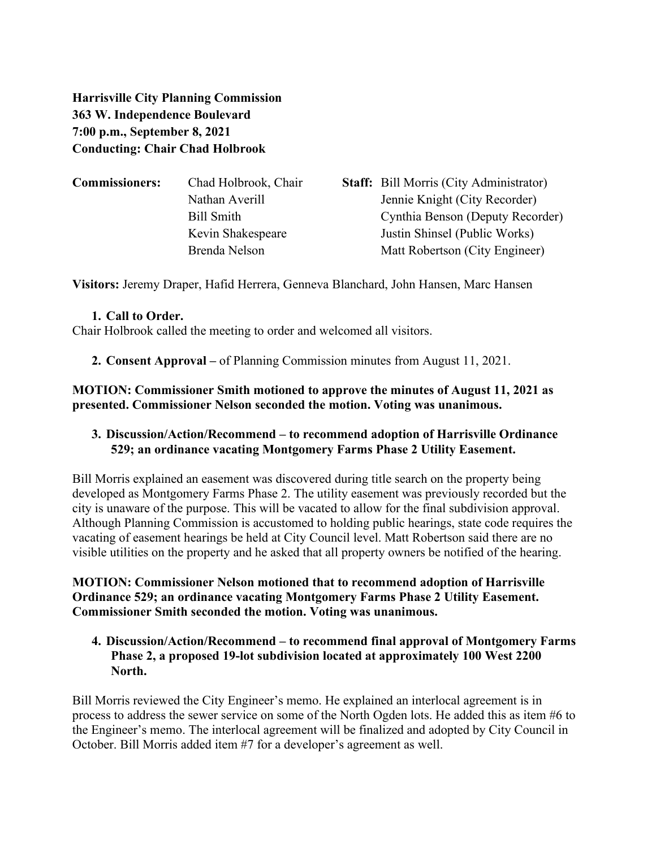**Harrisville City Planning Commission 363 W. Independence Boulevard 7:00 p.m., September 8, 2021 Conducting: Chair Chad Holbrook**

| <b>Commissioners:</b> | Chad Holbrook, Chair | <b>Staff:</b> Bill Morris (City Administrator) |
|-----------------------|----------------------|------------------------------------------------|
|                       | Nathan Averill       | Jennie Knight (City Recorder)                  |
|                       | Bill Smith           | Cynthia Benson (Deputy Recorder)               |
|                       | Kevin Shakespeare    | Justin Shinsel (Public Works)                  |
|                       | Brenda Nelson        | Matt Robertson (City Engineer)                 |
|                       |                      |                                                |

**Visitors:** Jeremy Draper, Hafid Herrera, Genneva Blanchard, John Hansen, Marc Hansen

#### **1. Call to Order.**

Chair Holbrook called the meeting to order and welcomed all visitors.

### **2. Consent Approval –** of Planning Commission minutes from August 11, 2021.

**MOTION: Commissioner Smith motioned to approve the minutes of August 11, 2021 as presented. Commissioner Nelson seconded the motion. Voting was unanimous.**

## **3. Discussion/Action/Recommend – to recommend adoption of Harrisville Ordinance 529; an ordinance vacating Montgomery Farms Phase 2 Utility Easement.**

Bill Morris explained an easement was discovered during title search on the property being developed as Montgomery Farms Phase 2. The utility easement was previously recorded but the city is unaware of the purpose. This will be vacated to allow for the final subdivision approval. Although Planning Commission is accustomed to holding public hearings, state code requires the vacating of easement hearings be held at City Council level. Matt Robertson said there are no visible utilities on the property and he asked that all property owners be notified of the hearing.

**MOTION: Commissioner Nelson motioned that to recommend adoption of Harrisville Ordinance 529; an ordinance vacating Montgomery Farms Phase 2 Utility Easement. Commissioner Smith seconded the motion. Voting was unanimous.** 

## **4. Discussion/Action/Recommend – to recommend final approval of Montgomery Farms Phase 2, a proposed 19-lot subdivision located at approximately 100 West 2200 North.**

Bill Morris reviewed the City Engineer's memo. He explained an interlocal agreement is in process to address the sewer service on some of the North Ogden lots. He added this as item #6 to the Engineer's memo. The interlocal agreement will be finalized and adopted by City Council in October. Bill Morris added item #7 for a developer's agreement as well.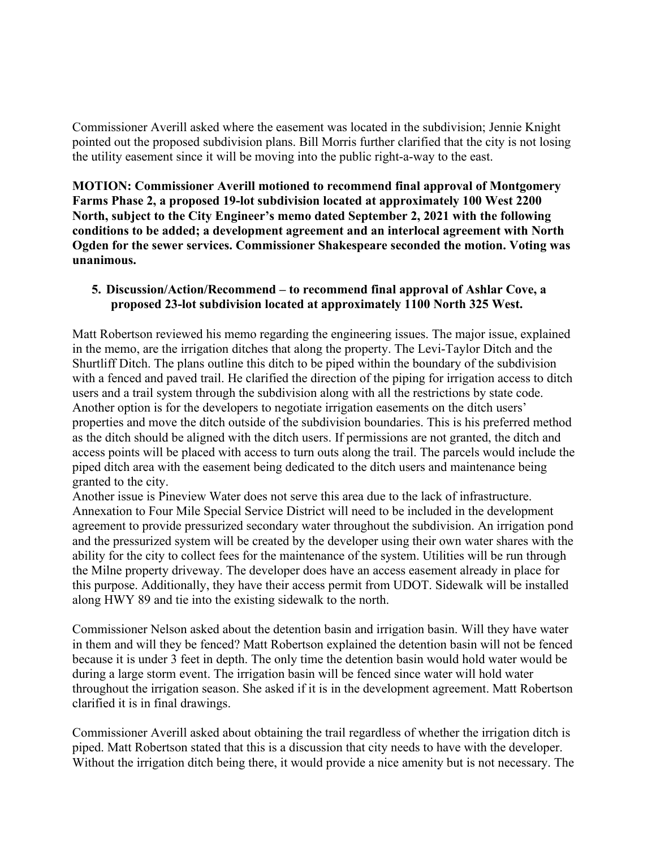Commissioner Averill asked where the easement was located in the subdivision; Jennie Knight pointed out the proposed subdivision plans. Bill Morris further clarified that the city is not losing the utility easement since it will be moving into the public right-a-way to the east.

**MOTION: Commissioner Averill motioned to recommend final approval of Montgomery Farms Phase 2, a proposed 19-lot subdivision located at approximately 100 West 2200 North, subject to the City Engineer's memo dated September 2, 2021 with the following conditions to be added; a development agreement and an interlocal agreement with North Ogden for the sewer services. Commissioner Shakespeare seconded the motion. Voting was unanimous.** 

### **5. Discussion/Action/Recommend – to recommend final approval of Ashlar Cove, a proposed 23-lot subdivision located at approximately 1100 North 325 West.**

Matt Robertson reviewed his memo regarding the engineering issues. The major issue, explained in the memo, are the irrigation ditches that along the property. The Levi-Taylor Ditch and the Shurtliff Ditch. The plans outline this ditch to be piped within the boundary of the subdivision with a fenced and paved trail. He clarified the direction of the piping for irrigation access to ditch users and a trail system through the subdivision along with all the restrictions by state code. Another option is for the developers to negotiate irrigation easements on the ditch users' properties and move the ditch outside of the subdivision boundaries. This is his preferred method as the ditch should be aligned with the ditch users. If permissions are not granted, the ditch and access points will be placed with access to turn outs along the trail. The parcels would include the piped ditch area with the easement being dedicated to the ditch users and maintenance being granted to the city.

Another issue is Pineview Water does not serve this area due to the lack of infrastructure. Annexation to Four Mile Special Service District will need to be included in the development agreement to provide pressurized secondary water throughout the subdivision. An irrigation pond and the pressurized system will be created by the developer using their own water shares with the ability for the city to collect fees for the maintenance of the system. Utilities will be run through the Milne property driveway. The developer does have an access easement already in place for this purpose. Additionally, they have their access permit from UDOT. Sidewalk will be installed along HWY 89 and tie into the existing sidewalk to the north.

Commissioner Nelson asked about the detention basin and irrigation basin. Will they have water in them and will they be fenced? Matt Robertson explained the detention basin will not be fenced because it is under 3 feet in depth. The only time the detention basin would hold water would be during a large storm event. The irrigation basin will be fenced since water will hold water throughout the irrigation season. She asked if it is in the development agreement. Matt Robertson clarified it is in final drawings.

Commissioner Averill asked about obtaining the trail regardless of whether the irrigation ditch is piped. Matt Robertson stated that this is a discussion that city needs to have with the developer. Without the irrigation ditch being there, it would provide a nice amenity but is not necessary. The